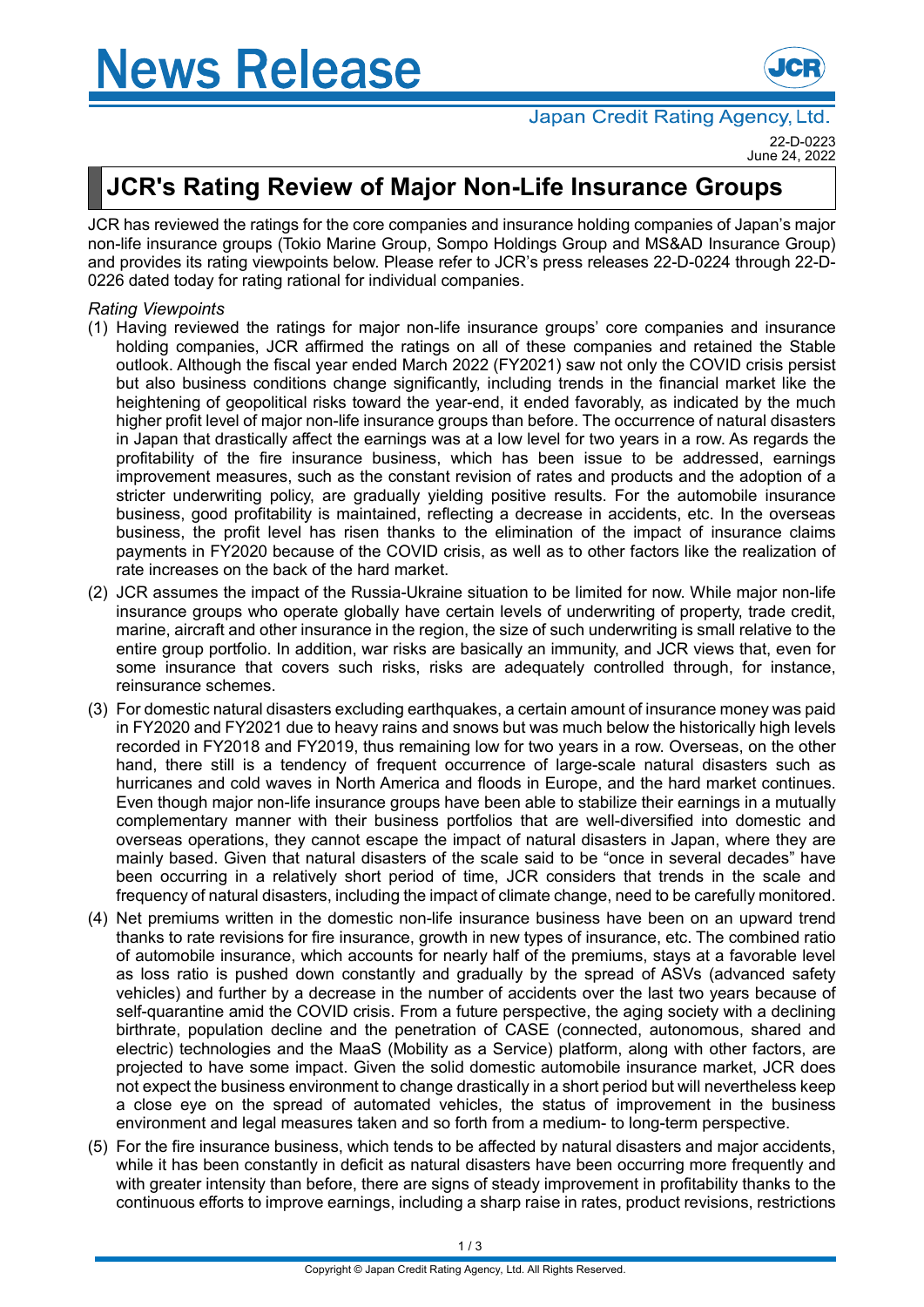## **News Release**



June 24, 2022

## **JCR's Rating Review of Major Non-Life Insurance Groups**

JCR has reviewed the ratings for the core companies and insurance holding companies of Japan's major non-life insurance groups (Tokio Marine Group, Sompo Holdings Group and MS&AD Insurance Group) and provides its rating viewpoints below. Please refer to JCR's press releases 22-D-0224 through 22-D-0226 dated today for rating rational for individual companies.

## *Rating Viewpoints*

- (1) Having reviewed the ratings for major non-life insurance groups' core companies and insurance holding companies, JCR affirmed the ratings on all of these companies and retained the Stable outlook. Although the fiscal year ended March 2022 (FY2021) saw not only the COVID crisis persist but also business conditions change significantly, including trends in the financial market like the heightening of geopolitical risks toward the year-end, it ended favorably, as indicated by the much higher profit level of major non-life insurance groups than before. The occurrence of natural disasters in Japan that drastically affect the earnings was at a low level for two years in a row. As regards the profitability of the fire insurance business, which has been issue to be addressed, earnings improvement measures, such as the constant revision of rates and products and the adoption of a stricter underwriting policy, are gradually yielding positive results. For the automobile insurance business, good profitability is maintained, reflecting a decrease in accidents, etc. In the overseas business, the profit level has risen thanks to the elimination of the impact of insurance claims payments in FY2020 because of the COVID crisis, as well as to other factors like the realization of rate increases on the back of the hard market.
- (2) JCR assumes the impact of the Russia-Ukraine situation to be limited for now. While major non-life insurance groups who operate globally have certain levels of underwriting of property, trade credit, marine, aircraft and other insurance in the region, the size of such underwriting is small relative to the entire group portfolio. In addition, war risks are basically an immunity, and JCR views that, even for some insurance that covers such risks, risks are adequately controlled through, for instance, reinsurance schemes.
- (3) For domestic natural disasters excluding earthquakes, a certain amount of insurance money was paid in FY2020 and FY2021 due to heavy rains and snows but was much below the historically high levels recorded in FY2018 and FY2019, thus remaining low for two years in a row. Overseas, on the other hand, there still is a tendency of frequent occurrence of large-scale natural disasters such as hurricanes and cold waves in North America and floods in Europe, and the hard market continues. Even though major non-life insurance groups have been able to stabilize their earnings in a mutually complementary manner with their business portfolios that are well-diversified into domestic and overseas operations, they cannot escape the impact of natural disasters in Japan, where they are mainly based. Given that natural disasters of the scale said to be "once in several decades" have been occurring in a relatively short period of time, JCR considers that trends in the scale and frequency of natural disasters, including the impact of climate change, need to be carefully monitored.
- (4) Net premiums written in the domestic non-life insurance business have been on an upward trend thanks to rate revisions for fire insurance, growth in new types of insurance, etc. The combined ratio of automobile insurance, which accounts for nearly half of the premiums, stays at a favorable level as loss ratio is pushed down constantly and gradually by the spread of ASVs (advanced safety vehicles) and further by a decrease in the number of accidents over the last two years because of self-quarantine amid the COVID crisis. From a future perspective, the aging society with a declining birthrate, population decline and the penetration of CASE (connected, autonomous, shared and electric) technologies and the MaaS (Mobility as a Service) platform, along with other factors, are projected to have some impact. Given the solid domestic automobile insurance market, JCR does not expect the business environment to change drastically in a short period but will nevertheless keep a close eye on the spread of automated vehicles, the status of improvement in the business environment and legal measures taken and so forth from a medium- to long-term perspective.
- (5) For the fire insurance business, which tends to be affected by natural disasters and major accidents, while it has been constantly in deficit as natural disasters have been occurring more frequently and with greater intensity than before, there are signs of steady improvement in profitability thanks to the continuous efforts to improve earnings, including a sharp raise in rates, product revisions, restrictions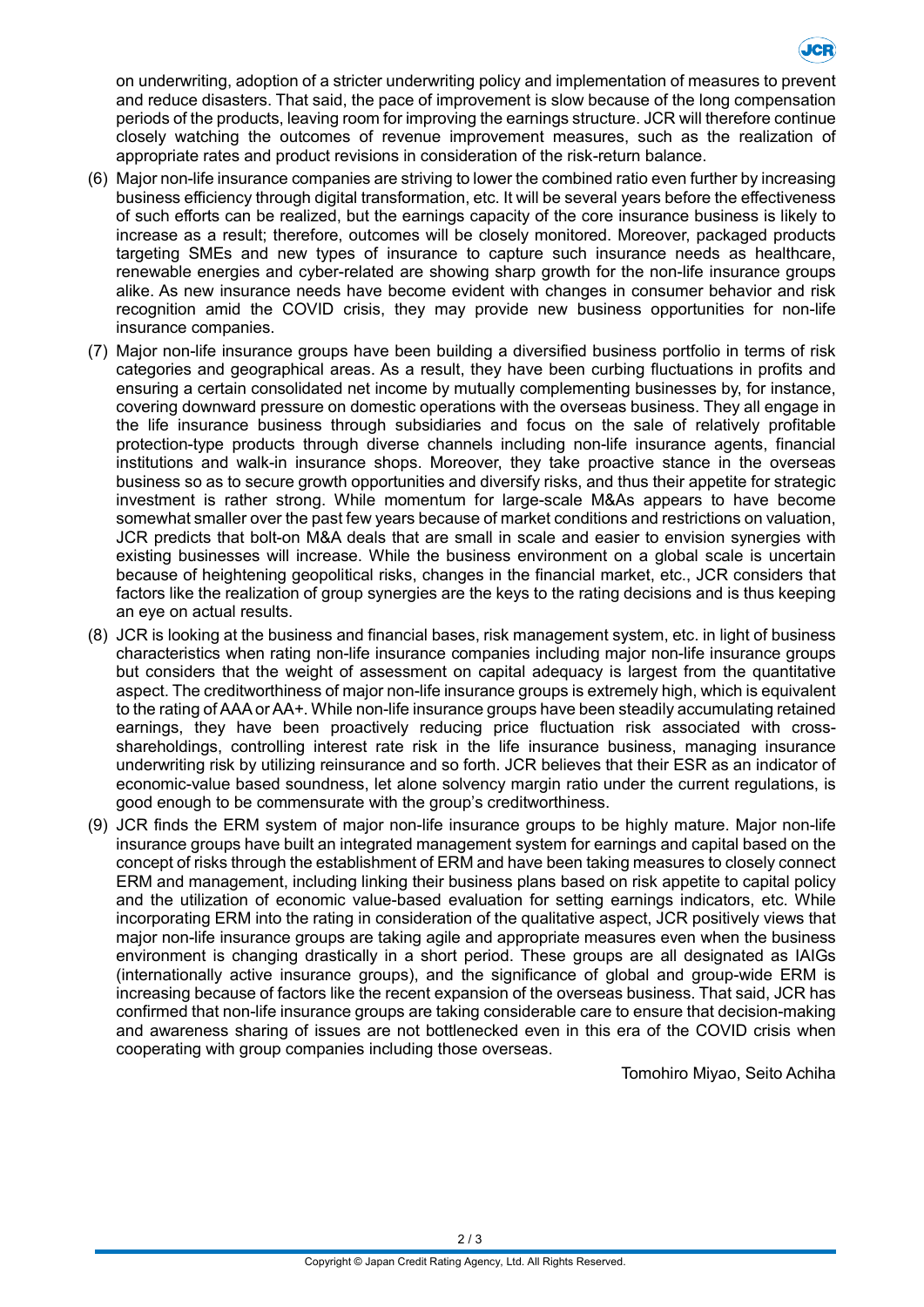

on underwriting, adoption of a stricter underwriting policy and implementation of measures to prevent and reduce disasters. That said, the pace of improvement is slow because of the long compensation periods of the products, leaving room for improving the earnings structure. JCR will therefore continue closely watching the outcomes of revenue improvement measures, such as the realization of appropriate rates and product revisions in consideration of the risk-return balance.

- (6) Major non-life insurance companies are striving to lower the combined ratio even further by increasing business efficiency through digital transformation, etc. It will be several years before the effectiveness of such efforts can be realized, but the earnings capacity of the core insurance business is likely to increase as a result; therefore, outcomes will be closely monitored. Moreover, packaged products targeting SMEs and new types of insurance to capture such insurance needs as healthcare, renewable energies and cyber-related are showing sharp growth for the non-life insurance groups alike. As new insurance needs have become evident with changes in consumer behavior and risk recognition amid the COVID crisis, they may provide new business opportunities for non-life insurance companies.
- (7) Major non-life insurance groups have been building a diversified business portfolio in terms of risk categories and geographical areas. As a result, they have been curbing fluctuations in profits and ensuring a certain consolidated net income by mutually complementing businesses by, for instance, covering downward pressure on domestic operations with the overseas business. They all engage in the life insurance business through subsidiaries and focus on the sale of relatively profitable protection-type products through diverse channels including non-life insurance agents, financial institutions and walk-in insurance shops. Moreover, they take proactive stance in the overseas business so as to secure growth opportunities and diversify risks, and thus their appetite for strategic investment is rather strong. While momentum for large-scale M&As appears to have become somewhat smaller over the past few years because of market conditions and restrictions on valuation, JCR predicts that bolt-on M&A deals that are small in scale and easier to envision synergies with existing businesses will increase. While the business environment on a global scale is uncertain because of heightening geopolitical risks, changes in the financial market, etc., JCR considers that factors like the realization of group synergies are the keys to the rating decisions and is thus keeping an eye on actual results.
- (8) JCR is looking at the business and financial bases, risk management system, etc. in light of business characteristics when rating non-life insurance companies including major non-life insurance groups but considers that the weight of assessment on capital adequacy is largest from the quantitative aspect. The creditworthiness of major non-life insurance groups is extremely high, which is equivalent to the rating of AAA or AA+. While non-life insurance groups have been steadily accumulating retained earnings, they have been proactively reducing price fluctuation risk associated with crossshareholdings, controlling interest rate risk in the life insurance business, managing insurance underwriting risk by utilizing reinsurance and so forth. JCR believes that their ESR as an indicator of economic-value based soundness, let alone solvency margin ratio under the current regulations, is good enough to be commensurate with the group's creditworthiness.
- (9) JCR finds the ERM system of major non-life insurance groups to be highly mature. Major non-life insurance groups have built an integrated management system for earnings and capital based on the concept of risks through the establishment of ERM and have been taking measures to closely connect ERM and management, including linking their business plans based on risk appetite to capital policy and the utilization of economic value-based evaluation for setting earnings indicators, etc. While incorporating ERM into the rating in consideration of the qualitative aspect, JCR positively views that major non-life insurance groups are taking agile and appropriate measures even when the business environment is changing drastically in a short period. These groups are all designated as IAIGs (internationally active insurance groups), and the significance of global and group-wide ERM is increasing because of factors like the recent expansion of the overseas business. That said, JCR has confirmed that non-life insurance groups are taking considerable care to ensure that decision-making and awareness sharing of issues are not bottlenecked even in this era of the COVID crisis when cooperating with group companies including those overseas.

Tomohiro Miyao, Seito Achiha